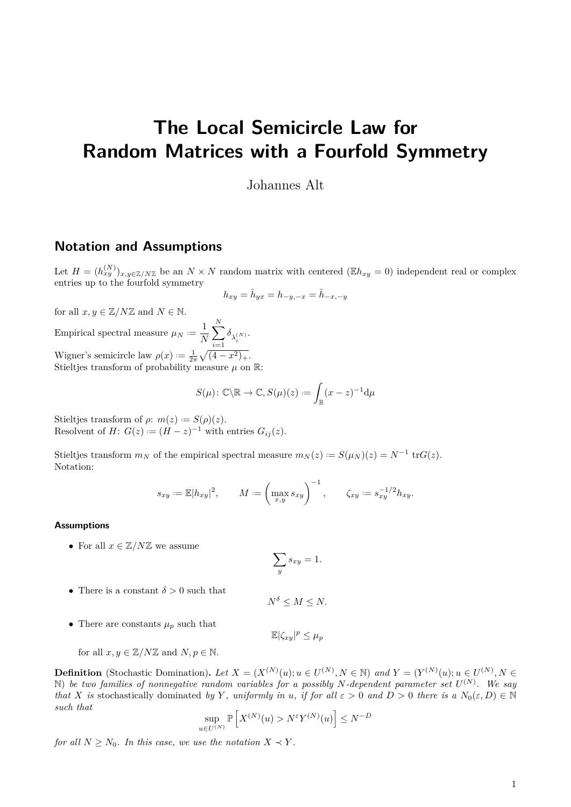# **The Local Semicircle Law for Random Matrices with a Fourfold Symmetry**

Johannes Alt

### **Notation and Assumptions**

Let  $H = (h_{xy}^{(N)})_{x,y\in\mathbb{Z}/N\mathbb{Z}}$  be an  $N\times N$  random matrix with centered ( $\mathbb{E}h_{xy} = 0$ ) independent real or complex entries up to the fourfold symmetry

$$
h_{xy} = \bar{h}_{yx} = h_{-y,-x} = \bar{h}_{-x,-y}
$$

for all  $x, y \in \mathbb{Z}/N\mathbb{Z}$  and  $N \in \mathbb{N}$ . Empirical spectral measure  $\mu_N := \frac{1}{N}$ *N* X *N i*=1  $\delta_{\lambda_i^{(N)}}$ . Wigner's semicircle law  $\rho(x) := \frac{1}{2\pi} \sqrt{(4 - x^2)_+}.$ Stieltjes transform of probability measure  $\mu$  on  $\mathbb{R}$ :

$$
S(\mu): \mathbb{C}\backslash \mathbb{R} \to \mathbb{C}, S(\mu)(z) := \int_{\mathbb{R}} (x-z)^{-1} \mathrm{d}\mu
$$

Stieltjes transform of  $\rho$ :  $m(z) := S(\rho)(z)$ . Resolvent of *H*:  $G(z) := (H - z)^{-1}$  with entries  $G_{ij}(z)$ .

Stieltjes transform  $m_N$  of the empirical spectral measure  $m_N(z) := S(\mu_N)(z) = N^{-1} \text{ tr } G(z)$ . Notation:

$$
s_{xy} := \mathbb{E}|h_{xy}|^2, \qquad M := \left(\max_{x,y} s_{xy}\right)^{-1}, \qquad \zeta_{xy} := s_{xy}^{-1/2} h_{xy}.
$$

#### **Assumptions**

• For all  $x \in \mathbb{Z}/N\mathbb{Z}$  we assume

$$
\sum_{y} s_{xy} = 1.
$$

• There is a constant  $\delta > 0$  such that

 $N^{\delta} \leq M \leq N$ .

• There are constants  $\mu_p$  such that

 $\mathbb{E}|\zeta_{xy}|^p \leq \mu_p$ 

for all  $x, y \in \mathbb{Z}/N\mathbb{Z}$  and  $N, p \in \mathbb{N}$ .

**Definition** (Stochastic Domination). Let  $X = (X^{(N)}(u); u \in U^{(N)}, N \in \mathbb{N})$  and  $Y = (Y^{(N)}(u); u \in U^{(N)}, N \in \mathbb{N})$ N) *be two families of nonnegative random variables for a possibly N-dependent parameter set U* (*N*) *. We say that X is* stochastically dominated *by Y*, uniformly in *u*, if for all  $\varepsilon > 0$  and  $D > 0$  there is a  $N_0(\varepsilon, D) \in \mathbb{N}$ *such that*

$$
\sup_{u \in U^{(N)}} \mathbb{P}\left[X^{(N)}(u) > N^{\varepsilon} Y^{(N)}(u)\right] \le N^{-D}
$$

*for all*  $N \geq N_0$ *. In this case, we use the notation*  $X \prec Y$ *.*